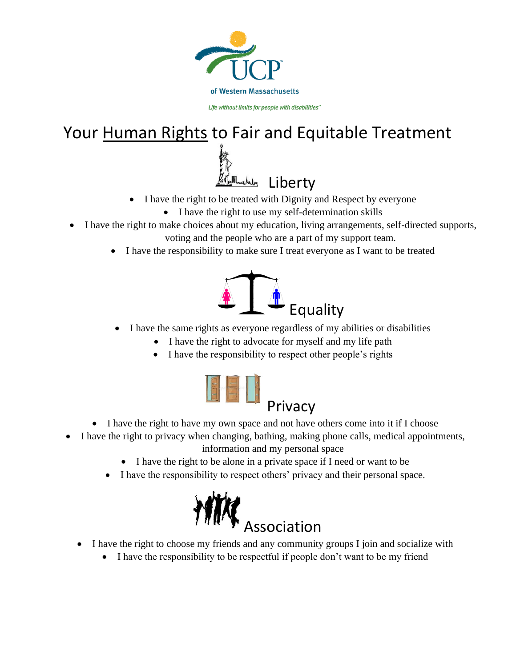

## Your Human Rights to Fair and Equitable Treatment



- I have the right to be treated with Dignity and Respect by everyone
	- I have the right to use my self-determination skills
- I have the right to make choices about my education, living arrangements, self-directed supports, voting and the people who are a part of my support team.
	- I have the responsibility to make sure I treat everyone as I want to be treated



- I have the same rights as everyone regardless of my abilities or disabilities
	- I have the right to advocate for myself and my life path
	- I have the responsibility to respect other people's rights



- I have the right to have my own space and not have others come into it if I choose
- I have the right to privacy when changing, bathing, making phone calls, medical appointments, information and my personal space
	- I have the right to be alone in a private space if I need or want to be
	- I have the responsibility to respect others' privacy and their personal space.



- I have the right to choose my friends and any community groups I join and socialize with
	- I have the responsibility to be respectful if people don't want to be my friend